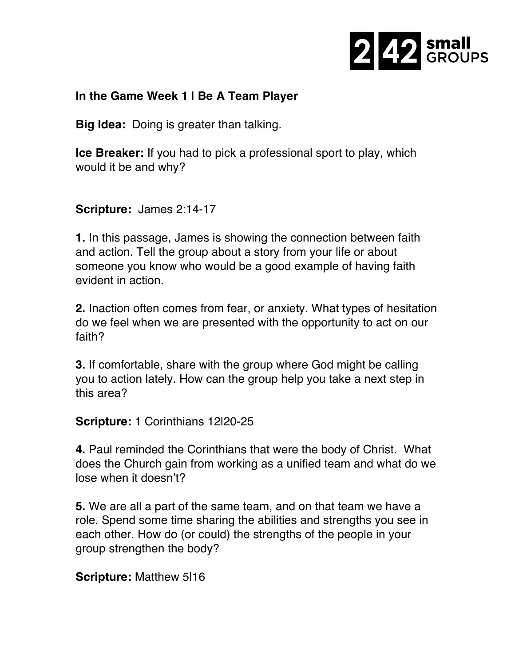

## **In the Game Week 1 | Be A Team Player**

**Big Idea:** Doing is greater than talking.

**Ice Breaker:** If you had to pick a professional sport to play, which would it be and why?

**Scripture:** James 2:14-17

**1.** In this passage, James is showing the connection between faith and action. Tell the group about a story from your life or about someone you know who would be a good example of having faith evident in action.

**2.** Inaction often comes from fear, or anxiety. What types of hesitation do we feel when we are presented with the opportunity to act on our faith?

**3.** If comfortable, share with the group where God might be calling you to action lately. How can the group help you take a next step in this area?

**Scripture:** 1 Corinthians 12|20-25

**4.** Paul reminded the Corinthians that were the body of Christ. What does the Church gain from working as a unified team and what do we lose when it doesn't?

**5.** We are all a part of the same team, and on that team we have a role. Spend some time sharing the abilities and strengths you see in each other. How do (or could) the strengths of the people in your group strengthen the body?

**Scripture:** Matthew 5|16